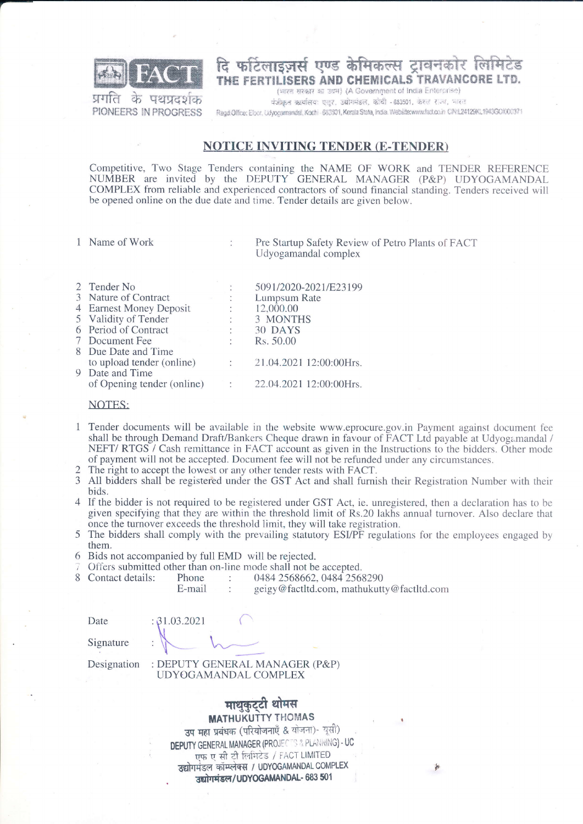

दि फटिलाइजर्स एण्ड केमिकल्स टावनकोर लिमिटेड THE FERTILISERS AND CHEMICALS TRAVANCORE LTD.

 $\overline{25}$ **UPIUC** PIONEERS IN PROGRESS

(भारत सरकार का उद्यम) (A Government of India Enterprise) पंजीकृत कार्यालयः एलुर, उद्योगमंडल, कोची - 683501, केश्ल राज्य, भारत Regd Office: Elocr, Cdyogamandel, Kochi - 683501, Kerala State, India. Website:www.fact.co.in CPN124129KL1943GOI000371

## **NOTICE INVITING TENDER (E-TENDER)**

Competitive, Two Stage Tenders containing the NAME OF WORK and TENDER REFERENCE NUMBER are invited by the DEPUTY GENERAL MANAGER (P&P) UDYOGAMANDAL COMPLEX from reliable and experienced contractors of sound financial standing. Tenders received will be opened online on the due date and time. Tender details are given below.

1 Name of Work

Pre Startup Safety Review of Petro Plants of FACT Udyogamandal complex

| 2 Tender No                |              | 5091/2020-2021/E23199   |
|----------------------------|--------------|-------------------------|
| 3 Nature of Contract       |              | Lumpsum Rate            |
| 4 Earnest Money Deposit    | $\mathbb{C}$ | 12,000.00               |
| 5 Validity of Tender       |              | 3 MONTHS                |
| 6 Period of Contract       | $\mathbb{Z}$ | 30 DAYS                 |
| 7 Document Fee             | ÷            | Rs. 50.00               |
| 8 Due Date and Time        |              |                         |
| to upload tender (online)  | $\mathbb{C}$ | 21.04.2021 12:00:00Hrs. |
| 9 Date and Time            |              |                         |
| of Opening tender (online) | ti i         | 22.04.2021 12:00:00Hrs. |
|                            |              |                         |

 $\ddot{\phantom{a}}$ 

## NOTES:

- Tender documents will be available in the website www.eprocure.gov.in Payment against document fee  $\mathbf{1}$ shall be through Demand Draft/Bankers Cheque drawn in favour of FACT Ltd payable at Udyogamandal / NEFT/RTGS / Cash remittance in FACT account as given in the Instructions to the bidders. Other mode of payment will not be accepted. Document fee will not be refunded under any circumstances.
- $\mathcal{D}$ The right to accept the lowest or any other tender rests with FACT.
- 3 All bidders shall be registered under the GST Act and shall furnish their Registration Number with their bids.
- 4 If the bidder is not required to be registered under GST Act, ie, unregistered, then a declaration has to be given specifying that they are within the threshold limit of Rs.20 lakhs annual turnover. Also declare that once the turnover exceeds the threshold limit, they will take registration.
- 5 The bidders shall comply with the prevailing statutory ESI/PF regulations for the employees engaged by them.
- 6 Bids not accompanied by full EMD will be rejected.

 $: 31.03.2021$ 

Offers submitted other than on-line mode shall not be accepted.

Contact details: 0484 2568662, 0484 2568290 Phone  $\ddot{\cdot}$ 

E-mail geigy@factltd.com, mathukutty@factltd.com

Date

 $\mathcal{R}$ 

Signature

Designation

: DEPUTY GENERAL MANAGER (P&P) UDYOGAMANDAL COMPLEX

> माथुकुट्टी थोमस **MATHUKUTTY THOMAS**

उप महा प्रबंधक (परियोजनाएँ & योजना)- यूसी) **DEPUTY GENERAL MANAGER (PROJECTS & PLANNING) - UC** एफ ए सी टी लिमिटेड / FACT LIMITED उद्योगमंडल कॉम्प्लेक्स / UDYOGAMANDAL COMPLEX उद्योगमंडल/UDYOGAMANDAL- 683 501